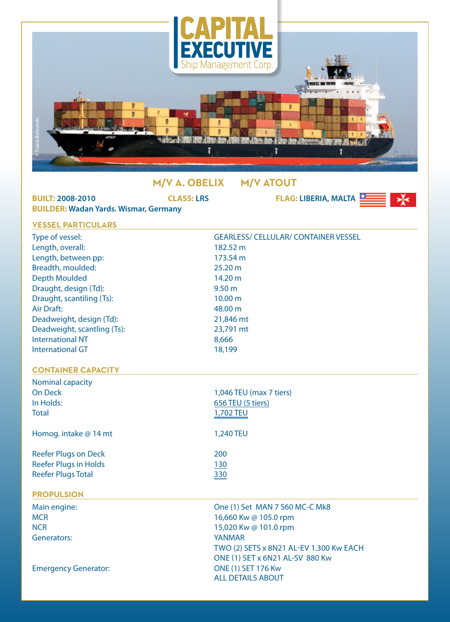

## **M/V A. OBELIX M/V ATOUT**

| <b>BUILT: 2008-2010</b><br><b>BUILDER: Wadan Yards. Wismar, Germany</b> | <b>CLASS: LRS</b>         | <b>FLAG: LIBERIA, MALTA</b>                 |  |  |  |  |
|-------------------------------------------------------------------------|---------------------------|---------------------------------------------|--|--|--|--|
| <b>VESSEL PARTICULARS</b>                                               |                           |                                             |  |  |  |  |
| Type of vessel:                                                         |                           | <b>GEARLESS/ CELLULAR/ CONTAINER VESSEL</b> |  |  |  |  |
| Length, overall:                                                        | 182.52 m                  |                                             |  |  |  |  |
| Length, between pp:                                                     | 173.54 m                  |                                             |  |  |  |  |
| Breadth, moulded:                                                       | 25.20 m                   |                                             |  |  |  |  |
| <b>Depth Moulded</b>                                                    | 14.20 m                   |                                             |  |  |  |  |
| Draught, design (Td):                                                   | 9.50 <sub>m</sub>         |                                             |  |  |  |  |
| Draught, scantiling (Ts):                                               | 10.00 m                   |                                             |  |  |  |  |
| <b>Air Draft:</b>                                                       | 48.00 m                   |                                             |  |  |  |  |
| Deadweight, design (Td):                                                | 21,846 mt                 |                                             |  |  |  |  |
| Deadweight, scantling (Ts):                                             | 23,791 mt                 |                                             |  |  |  |  |
| <b>International NT</b>                                                 | 8,666                     |                                             |  |  |  |  |
| <b>International GT</b>                                                 | 18,199                    |                                             |  |  |  |  |
| <b>CONTAINER CAPACITY</b>                                               |                           |                                             |  |  |  |  |
| Nominal capacity                                                        |                           |                                             |  |  |  |  |
| <b>On Deck</b>                                                          | 1,046 TEU (max 7 tiers)   |                                             |  |  |  |  |
| In Holds:                                                               | 656 TEU (5 tiers)         |                                             |  |  |  |  |
| <b>Total</b>                                                            | 1,702 TEU                 |                                             |  |  |  |  |
| Homog. intake @ 14 mt                                                   | 1,240 TEU                 |                                             |  |  |  |  |
| <b>Reefer Plugs on Deck</b>                                             | 200                       |                                             |  |  |  |  |
| <b>Reefer Plugs in Holds</b>                                            | 130                       |                                             |  |  |  |  |
| <b>Reefer Plugs Total</b>                                               | 330                       |                                             |  |  |  |  |
| <b>PROPULSION</b>                                                       |                           |                                             |  |  |  |  |
| Main engine:                                                            |                           | One (1) Set MAN 7 S60 MC-C Mk8              |  |  |  |  |
| <b>MCR</b>                                                              | 16,660 Kw @ 105.0 rpm     |                                             |  |  |  |  |
| <b>NCR</b>                                                              | 15,020 Kw @ 101.0 rpm     |                                             |  |  |  |  |
| <b>Generators:</b>                                                      | <b>YANMAR</b>             |                                             |  |  |  |  |
|                                                                         |                           | TWO (2) SETS x 8N21 AL-EV 1.300 Kw EACH     |  |  |  |  |
|                                                                         |                           | ONE (1) SET x 6N21 AL-SV 880 Kw             |  |  |  |  |
| <b>Emergency Generator:</b>                                             | <b>ONE (1) SET 176 Kw</b> |                                             |  |  |  |  |
|                                                                         | <b>ALL DETAILS ABOUT</b>  |                                             |  |  |  |  |